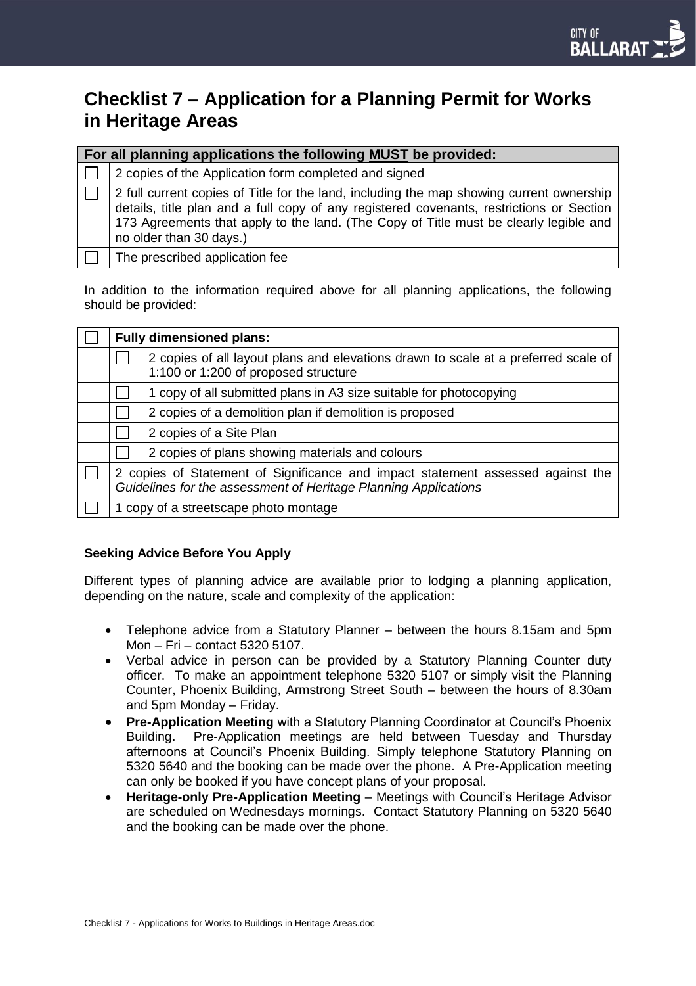# **Checklist 7 – Application for a Planning Permit for Works in Heritage Areas**

| For all planning applications the following MUST be provided: |                                                                                                                                                                                                                                                                                                          |  |  |
|---------------------------------------------------------------|----------------------------------------------------------------------------------------------------------------------------------------------------------------------------------------------------------------------------------------------------------------------------------------------------------|--|--|
|                                                               | 2 copies of the Application form completed and signed                                                                                                                                                                                                                                                    |  |  |
|                                                               | 2 full current copies of Title for the land, including the map showing current ownership<br>details, title plan and a full copy of any registered covenants, restrictions or Section<br>173 Agreements that apply to the land. (The Copy of Title must be clearly legible and<br>no older than 30 days.) |  |  |
|                                                               | The prescribed application fee                                                                                                                                                                                                                                                                           |  |  |

In addition to the information required above for all planning applications, the following should be provided:

| <b>Fully dimensioned plans:</b>                                                                                                                    |                                                                                                                            |  |
|----------------------------------------------------------------------------------------------------------------------------------------------------|----------------------------------------------------------------------------------------------------------------------------|--|
|                                                                                                                                                    | 2 copies of all layout plans and elevations drawn to scale at a preferred scale of<br>1:100 or 1:200 of proposed structure |  |
|                                                                                                                                                    | 1 copy of all submitted plans in A3 size suitable for photocopying                                                         |  |
|                                                                                                                                                    | 2 copies of a demolition plan if demolition is proposed                                                                    |  |
|                                                                                                                                                    | 2 copies of a Site Plan                                                                                                    |  |
|                                                                                                                                                    | 2 copies of plans showing materials and colours                                                                            |  |
| 2 copies of Statement of Significance and impact statement assessed against the<br>Guidelines for the assessment of Heritage Planning Applications |                                                                                                                            |  |
| 1 copy of a streetscape photo montage                                                                                                              |                                                                                                                            |  |

## **Seeking Advice Before You Apply**

Different types of planning advice are available prior to lodging a planning application, depending on the nature, scale and complexity of the application:

- Telephone advice from a Statutory Planner between the hours 8.15am and 5pm Mon – Fri – contact 5320 5107.
- Verbal advice in person can be provided by a Statutory Planning Counter duty officer. To make an appointment telephone 5320 5107 or simply visit the Planning Counter, Phoenix Building, Armstrong Street South – between the hours of 8.30am and 5pm Monday – Friday.
- **Pre-Application Meeting** with a Statutory Planning Coordinator at Council's Phoenix Building. Pre-Application meetings are held between Tuesday and Thursday afternoons at Council's Phoenix Building. Simply telephone Statutory Planning on 5320 5640 and the booking can be made over the phone. A Pre-Application meeting can only be booked if you have concept plans of your proposal.
- **Heritage-only Pre-Application Meeting**  Meetings with Council's Heritage Advisor are scheduled on Wednesdays mornings.Contact Statutory Planning on 5320 5640 and the booking can be made over the phone.